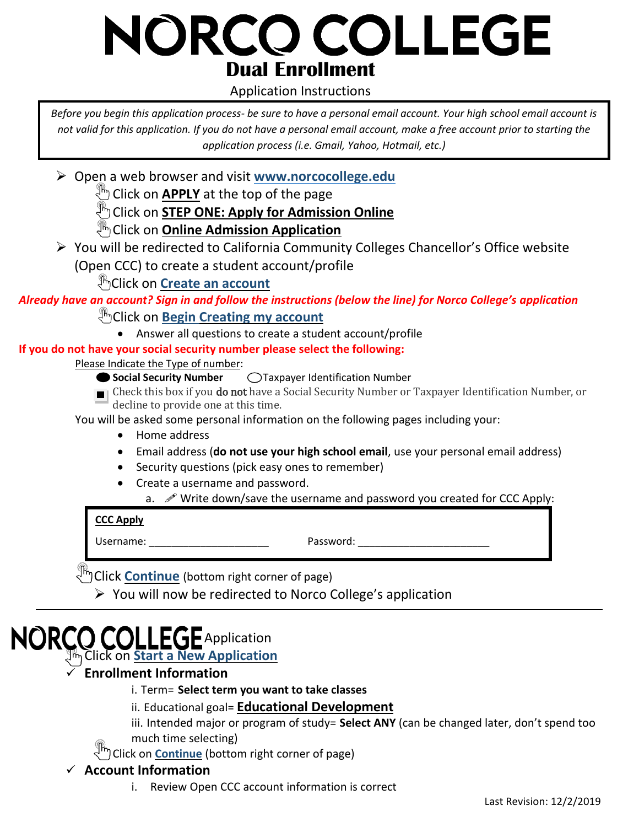# NORCO COLLEGE **Dual Enrollment**

#### Application Instructions

*Before you begin this application process- be sure to have a personal email account. Your high school email account is not valid for this application. If you do not have a personal email account, make a free account prior to starting the application process (i.e. Gmail, Yahoo, Hotmail, etc.)*

Open a web browser and visit **[www.norcocollege.edu](http://www.norcocollege.edu/)**

**<sup><sup>1</sup><sup>1</sup>/<sub>1</sub>** Click on **APPLY** at the top of the page</sup>

**CLICK ON STEP ONE: Apply for Admission Online** 

**Click on Online Admission Application** 

 You will be redirected to California Community Colleges Chancellor's Office website (Open CCC) to create a student account/profile

Click on **Create an account**

*Already have an account? Sign in and follow the instructions (below the line) for Norco College's application*

**Click on Begin Creating my account** 

Answer all questions to create a student account/profile

**If you do not have your social security number please select the following:**

Please Indicate the Type of number:

- **Social Security Number**  $\bigcirc$  Taxpayer Identification Number
- **F** Check this box if you **do not** have a Social Security Number or Taxpayer Identification Number, or decline to provide one at this time.

You will be asked some personal information on the following pages including your:

- Home address
- Email address (**do not use your high school email**, use your personal email address)
- Security questions (pick easy ones to remember)
- Create a username and password.
	- a.  $\mathscr{P}$  Write down/save the username and password you created for CCC Apply:

#### **CCC Apply**

Username: The contraction of the Password:  $\blacksquare$ 

**Click Continue** (bottom right corner of page)

 $\triangleright$  You will now be redirected to Norco College's application

# $\blacktriangleright$  Application

Click on **Start a New Application**

#### **Enrollment Information**

- i. Term= **Select term you want to take classes**
- ii. Educational goal= **Educational Development**
- iii. Intended major or program of study= **Select ANY** (can be changed later, don't spend too much time selecting)

I<sup>m</sup>) Click on **Continue** (bottom right corner of page)

#### **Account Information**

i. Review Open CCC account information is correct